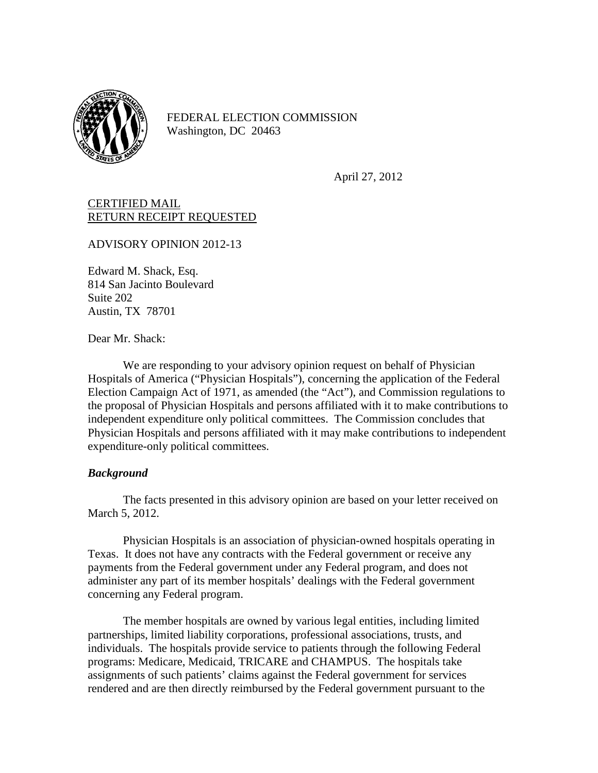

FEDERAL ELECTION COMMISSION Washington, DC 20463

April 27, 2012

## CERTIFIED MAIL RETURN RECEIPT REQUESTED

ADVISORY OPINION 2012-13

Edward M. Shack, Esq. 814 San Jacinto Boulevard Suite 202 Austin, TX 78701

Dear Mr. Shack:

We are responding to your advisory opinion request on behalf of Physician Hospitals of America ("Physician Hospitals"), concerning the application of the Federal Election Campaign Act of 1971, as amended (the "Act"), and Commission regulations to the proposal of Physician Hospitals and persons affiliated with it to make contributions to independent expenditure only political committees. The Commission concludes that Physician Hospitals and persons affiliated with it may make contributions to independent expenditure-only political committees.

## *Background*

The facts presented in this advisory opinion are based on your letter received on March 5, 2012.

Physician Hospitals is an association of physician-owned hospitals operating in Texas. It does not have any contracts with the Federal government or receive any payments from the Federal government under any Federal program, and does not administer any part of its member hospitals' dealings with the Federal government concerning any Federal program.

The member hospitals are owned by various legal entities, including limited partnerships, limited liability corporations, professional associations, trusts, and individuals. The hospitals provide service to patients through the following Federal programs: Medicare, Medicaid, TRICARE and CHAMPUS. The hospitals take assignments of such patients' claims against the Federal government for services rendered and are then directly reimbursed by the Federal government pursuant to the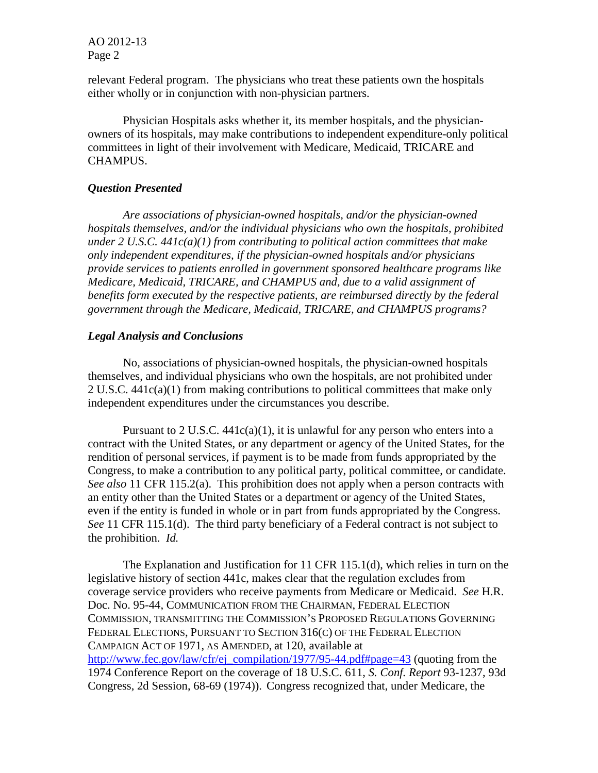AO 2012-13 Page 2

relevant Federal program. The physicians who treat these patients own the hospitals either wholly or in conjunction with non-physician partners.

Physician Hospitals asks whether it, its member hospitals, and the physicianowners of its hospitals, may make contributions to independent expenditure-only political committees in light of their involvement with Medicare, Medicaid, TRICARE and CHAMPUS.

## *Question Presented*

*Are associations of physician-owned hospitals, and/or the physician-owned hospitals themselves, and/or the individual physicians who own the hospitals, prohibited under 2 U.S.C. 441c(a)(1) from contributing to political action committees that make only independent expenditures, if the physician-owned hospitals and/or physicians provide services to patients enrolled in government sponsored healthcare programs like Medicare, Medicaid, TRICARE, and CHAMPUS and, due to a valid assignment of benefits form executed by the respective patients, are reimbursed directly by the federal government through the Medicare, Medicaid, TRICARE, and CHAMPUS programs?*

## *Legal Analysis and Conclusions*

No, associations of physician-owned hospitals, the physician-owned hospitals themselves, and individual physicians who own the hospitals, are not prohibited under 2 U.S.C. 441c(a)(1) from making contributions to political committees that make only independent expenditures under the circumstances you describe.

Pursuant to 2 U.S.C.  $441c(a)(1)$ , it is unlawful for any person who enters into a contract with the United States, or any department or agency of the United States, for the rendition of personal services, if payment is to be made from funds appropriated by the Congress, to make a contribution to any political party, political committee, or candidate. *See also* 11 CFR 115.2(a). This prohibition does not apply when a person contracts with an entity other than the United States or a department or agency of the United States, even if the entity is funded in whole or in part from funds appropriated by the Congress. *See* 11 CFR 115.1(d). The third party beneficiary of a Federal contract is not subject to the prohibition. *Id.*

The Explanation and Justification for 11 CFR 115.1(d), which relies in turn on the legislative history of section 441c, makes clear that the regulation excludes from coverage service providers who receive payments from Medicare or Medicaid. *See* H.R. Doc. No. 95-44, COMMUNICATION FROM THE CHAIRMAN, FEDERAL ELECTION COMMISSION, TRANSMITTING THE COMMISSION'S PROPOSED REGULATIONS GOVERNING FEDERAL ELECTIONS, PURSUANT TO SECTION 316(C) OF THE FEDERAL ELECTION CAMPAIGN ACT OF 1971, AS AMENDED, at 120, available at [http://www.fec.gov/law/cfr/ej\\_compilation/1977/95-44.pdf#page=43](http://www.fec.gov/law/cfr/ej_compilation/1977/95-44.pdf#page=43) (quoting from the 1974 Conference Report on the coverage of 18 U.S.C. 611, *S. Conf. Report* 93-1237, 93d Congress, 2d Session, 68-69 (1974)). Congress recognized that, under Medicare, the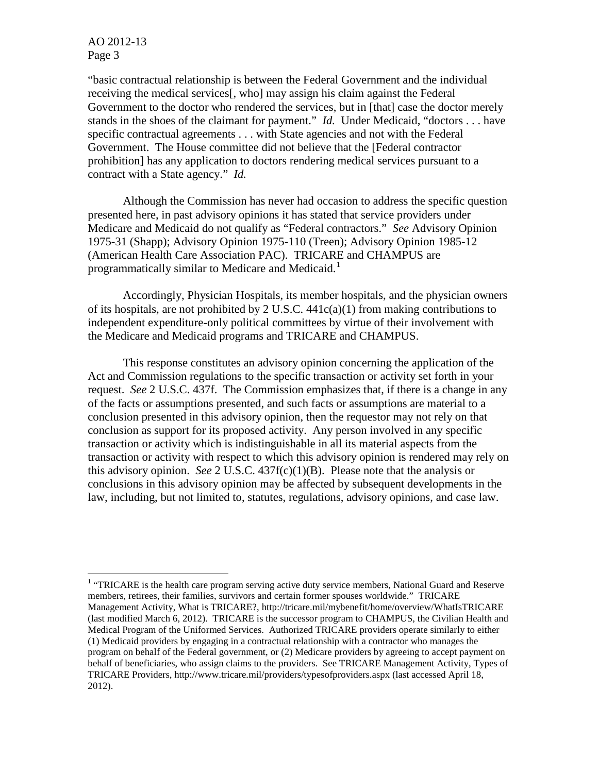AO 2012-13 Page 3

"basic contractual relationship is between the Federal Government and the individual receiving the medical services[, who] may assign his claim against the Federal Government to the doctor who rendered the services, but in [that] case the doctor merely stands in the shoes of the claimant for payment." *Id.* Under Medicaid, "doctors . . . have specific contractual agreements . . . with State agencies and not with the Federal Government. The House committee did not believe that the [Federal contractor prohibition] has any application to doctors rendering medical services pursuant to a contract with a State agency." *Id.*

Although the Commission has never had occasion to address the specific question presented here, in past advisory opinions it has stated that service providers under Medicare and Medicaid do not qualify as "Federal contractors." *See* Advisory Opinion 1975-31 (Shapp); Advisory Opinion 1975-110 (Treen); Advisory Opinion 1985-12 (American Health Care Association PAC). TRICARE and CHAMPUS are programmatically similar to Medicare and Medicaid.<sup>[1](#page-2-0)</sup>

Accordingly, Physician Hospitals, its member hospitals, and the physician owners of its hospitals, are not prohibited by 2 U.S.C. 441c(a)(1) from making contributions to independent expenditure-only political committees by virtue of their involvement with the Medicare and Medicaid programs and TRICARE and CHAMPUS.

This response constitutes an advisory opinion concerning the application of the Act and Commission regulations to the specific transaction or activity set forth in your request. *See* 2 U.S.C. 437f. The Commission emphasizes that, if there is a change in any of the facts or assumptions presented, and such facts or assumptions are material to a conclusion presented in this advisory opinion, then the requestor may not rely on that conclusion as support for its proposed activity. Any person involved in any specific transaction or activity which is indistinguishable in all its material aspects from the transaction or activity with respect to which this advisory opinion is rendered may rely on this advisory opinion. *See* 2 U.S.C.  $437f(c)(1)(B)$ . Please note that the analysis or conclusions in this advisory opinion may be affected by subsequent developments in the law, including, but not limited to, statutes, regulations, advisory opinions, and case law.

<span id="page-2-0"></span><sup>&</sup>lt;sup>1</sup> "TRICARE is the health care program serving active duty service members, National Guard and Reserve members, retirees, their families, survivors and certain former spouses worldwide." TRICARE Management Activity, What is TRICARE?, http://tricare.mil/mybenefit/home/overview/WhatIsTRICARE (last modified March 6, 2012). TRICARE is the successor program to CHAMPUS, the Civilian Health and Medical Program of the Uniformed Services. Authorized TRICARE providers operate similarly to either (1) Medicaid providers by engaging in a contractual relationship with a contractor who manages the program on behalf of the Federal government, or (2) Medicare providers by agreeing to accept payment on behalf of beneficiaries, who assign claims to the providers. See TRICARE Management Activity, Types of TRICARE Providers, http://www.tricare.mil/providers/typesofproviders.aspx (last accessed April 18, 2012).